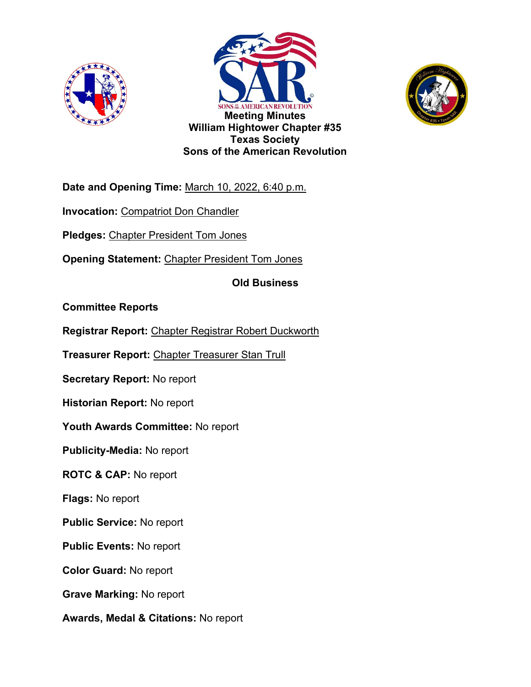





**Date and Opening Time:** March 10, 2022, 6:40 p.m.

**Invocation:** Compatriot Don Chandler

**Pledges:** Chapter President Tom Jones

**Opening Statement:** Chapter President Tom Jones

**Old Business**

**Committee Reports**

**Registrar Report:** Chapter Registrar Robert Duckworth

**Treasurer Report:** Chapter Treasurer Stan Trull

**Secretary Report:** No report

**Historian Report:** No report

**Youth Awards Committee:** No report

**Publicity-Media:** No report

**ROTC & CAP:** No report

**Flags:** No report

**Public Service:** No report

**Public Events:** No report

**Color Guard:** No report

**Grave Marking:** No report

**Awards, Medal & Citations:** No report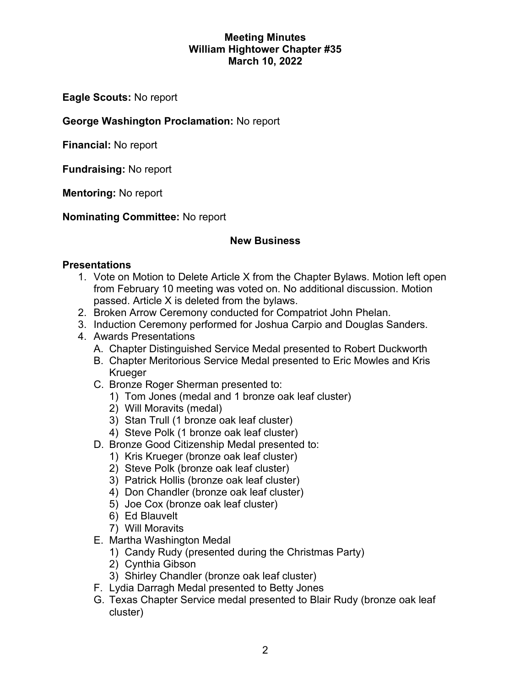#### **Meeting Minutes William Hightower Chapter #35 March 10, 2022**

**Eagle Scouts:** No report

### **George Washington Proclamation:** No report

**Financial:** No report

**Fundraising:** No report

**Mentoring:** No report

**Nominating Committee:** No report

### **New Business**

### **Presentations**

- 1. Vote on Motion to Delete Article X from the Chapter Bylaws. Motion left open from February 10 meeting was voted on. No additional discussion. Motion passed. Article X is deleted from the bylaws.
- 2. Broken Arrow Ceremony conducted for Compatriot John Phelan.
- 3. Induction Ceremony performed for Joshua Carpio and Douglas Sanders.
- 4. Awards Presentations
	- A. Chapter Distinguished Service Medal presented to Robert Duckworth
	- B. Chapter Meritorious Service Medal presented to Eric Mowles and Kris Krueger
	- C. Bronze Roger Sherman presented to:
		- 1) Tom Jones (medal and 1 bronze oak leaf cluster)
		- 2) Will Moravits (medal)
		- 3) Stan Trull (1 bronze oak leaf cluster)
		- 4) Steve Polk (1 bronze oak leaf cluster)
	- D. Bronze Good Citizenship Medal presented to:
		- 1) Kris Krueger (bronze oak leaf cluster)
		- 2) Steve Polk (bronze oak leaf cluster)
		- 3) Patrick Hollis (bronze oak leaf cluster)
		- 4) Don Chandler (bronze oak leaf cluster)
		- 5) Joe Cox (bronze oak leaf cluster)
		- 6) Ed Blauvelt
		- 7) Will Moravits
	- E. Martha Washington Medal
		- 1) Candy Rudy (presented during the Christmas Party)
		- 2) Cynthia Gibson
		- 3) Shirley Chandler (bronze oak leaf cluster)
	- F. Lydia Darragh Medal presented to Betty Jones
	- G. Texas Chapter Service medal presented to Blair Rudy (bronze oak leaf cluster)